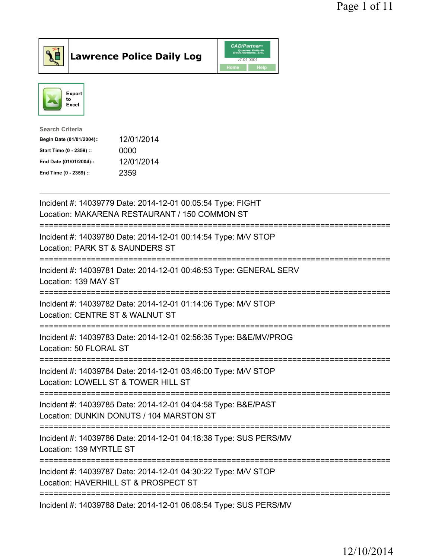



| <b>Search Criteria</b>    |            |
|---------------------------|------------|
| Begin Date (01/01/2004):: | 12/01/2014 |
| Start Time (0 - 2359) ::  | 0000       |
| End Date (01/01/2004)::   | 12/01/2014 |
| End Time (0 - 2359) ::    | 2359       |
|                           |            |

| Incident #: 14039779 Date: 2014-12-01 00:05:54 Type: FIGHT<br>Location: MAKARENA RESTAURANT / 150 COMMON ST                                         |
|-----------------------------------------------------------------------------------------------------------------------------------------------------|
| Incident #: 14039780 Date: 2014-12-01 00:14:54 Type: M/V STOP<br>Location: PARK ST & SAUNDERS ST                                                    |
| Incident #: 14039781 Date: 2014-12-01 00:46:53 Type: GENERAL SERV<br>Location: 139 MAY ST<br>--------------                                         |
| Incident #: 14039782 Date: 2014-12-01 01:14:06 Type: M/V STOP<br>Location: CENTRE ST & WALNUT ST                                                    |
| Incident #: 14039783 Date: 2014-12-01 02:56:35 Type: B&E/MV/PROG<br>Location: 50 FLORAL ST                                                          |
| Incident #: 14039784 Date: 2014-12-01 03:46:00 Type: M/V STOP<br>Location: LOWELL ST & TOWER HILL ST<br>==========================                  |
| Incident #: 14039785 Date: 2014-12-01 04:04:58 Type: B&E/PAST<br>Location: DUNKIN DONUTS / 104 MARSTON ST<br>;===================================== |
| Incident #: 14039786 Date: 2014-12-01 04:18:38 Type: SUS PERS/MV<br>Location: 139 MYRTLE ST                                                         |
| Incident #: 14039787 Date: 2014-12-01 04:30:22 Type: M/V STOP<br>Location: HAVERHILL ST & PROSPECT ST<br>----------------------------               |
| Incident #: 14039788 Date: 2014-12-01 06:08:54 Type: SUS PERS/MV                                                                                    |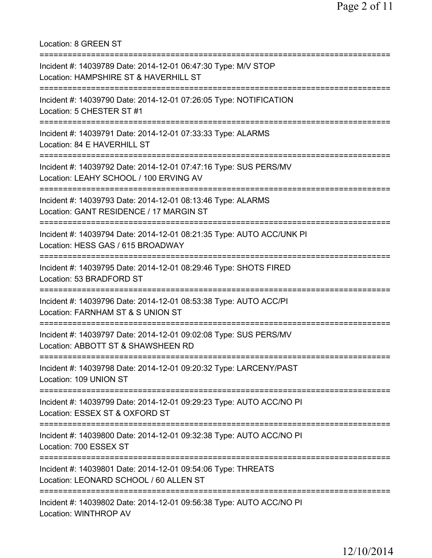Location: 8 GREEN ST =========================================================================== Incident #: 14039789 Date: 2014-12-01 06:47:30 Type: M/V STOP Location: HAMPSHIRE ST & HAVERHILL ST =========================================================================== Incident #: 14039790 Date: 2014-12-01 07:26:05 Type: NOTIFICATION Location: 5 CHESTER ST #1 =========================================================================== Incident #: 14039791 Date: 2014-12-01 07:33:33 Type: ALARMS Location: 84 E HAVERHILL ST =========================================================================== Incident #: 14039792 Date: 2014-12-01 07:47:16 Type: SUS PERS/MV Location: LEAHY SCHOOL / 100 ERVING AV =========================================================================== Incident #: 14039793 Date: 2014-12-01 08:13:46 Type: ALARMS Location: GANT RESIDENCE / 17 MARGIN ST =========================================================================== Incident #: 14039794 Date: 2014-12-01 08:21:35 Type: AUTO ACC/UNK PI Location: HESS GAS / 615 BROADWAY =========================================================================== Incident #: 14039795 Date: 2014-12-01 08:29:46 Type: SHOTS FIRED Location: 53 BRADFORD ST =========================================================================== Incident #: 14039796 Date: 2014-12-01 08:53:38 Type: AUTO ACC/PI Location: FARNHAM ST & S UNION ST =========================================================================== Incident #: 14039797 Date: 2014-12-01 09:02:08 Type: SUS PERS/MV Location: ABBOTT ST & SHAWSHEEN RD =========================================================================== Incident #: 14039798 Date: 2014-12-01 09:20:32 Type: LARCENY/PAST Location: 109 UNION ST =========================================================================== Incident #: 14039799 Date: 2014-12-01 09:29:23 Type: AUTO ACC/NO PI Location: ESSEX ST & OXFORD ST =========================================================================== Incident #: 14039800 Date: 2014-12-01 09:32:38 Type: AUTO ACC/NO PI Location: 700 ESSEX ST =========================================================================== Incident #: 14039801 Date: 2014-12-01 09:54:06 Type: THREATS Location: LEONARD SCHOOL / 60 ALLEN ST =========================================================================== Incident #: 14039802 Date: 2014-12-01 09:56:38 Type: AUTO ACC/NO PI Location: WINTHROP AV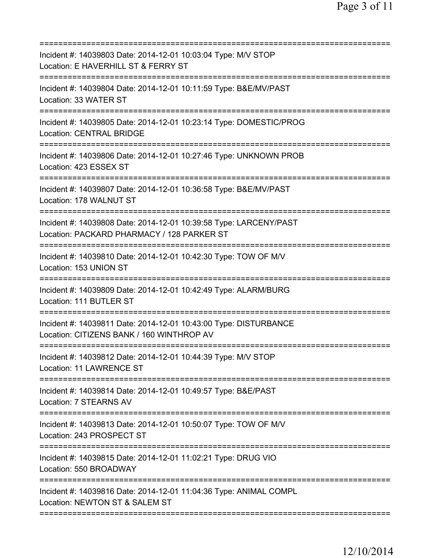| Incident #: 14039803 Date: 2014-12-01 10:03:04 Type: M/V STOP<br>Location: E HAVERHILL ST & FERRY ST<br>=======================        |
|----------------------------------------------------------------------------------------------------------------------------------------|
| Incident #: 14039804 Date: 2014-12-01 10:11:59 Type: B&E/MV/PAST<br>Location: 33 WATER ST                                              |
| Incident #: 14039805 Date: 2014-12-01 10:23:14 Type: DOMESTIC/PROG<br><b>Location: CENTRAL BRIDGE</b>                                  |
| Incident #: 14039806 Date: 2014-12-01 10:27:46 Type: UNKNOWN PROB<br>Location: 423 ESSEX ST                                            |
| Incident #: 14039807 Date: 2014-12-01 10:36:58 Type: B&E/MV/PAST<br>Location: 178 WALNUT ST                                            |
| ===================<br>Incident #: 14039808 Date: 2014-12-01 10:39:58 Type: LARCENY/PAST<br>Location: PACKARD PHARMACY / 128 PARKER ST |
| ==============================<br>Incident #: 14039810 Date: 2014-12-01 10:42:30 Type: TOW OF M/V<br>Location: 153 UNION ST            |
| Incident #: 14039809 Date: 2014-12-01 10:42:49 Type: ALARM/BURG<br>Location: 111 BUTLER ST                                             |
| Incident #: 14039811 Date: 2014-12-01 10:43:00 Type: DISTURBANCE<br>Location: CITIZENS BANK / 160 WINTHROP AV                          |
| Incident #: 14039812 Date: 2014-12-01 10:44:39 Type: M/V STOP<br>Location: 11 LAWRENCE ST                                              |
| Incident #: 14039814 Date: 2014-12-01 10:49:57 Type: B&E/PAST<br>Location: 7 STEARNS AV                                                |
| Incident #: 14039813 Date: 2014-12-01 10:50:07 Type: TOW OF M/V<br>Location: 243 PROSPECT ST                                           |
| Incident #: 14039815 Date: 2014-12-01 11:02:21 Type: DRUG VIO<br>Location: 550 BROADWAY                                                |
| Incident #: 14039816 Date: 2014-12-01 11:04:36 Type: ANIMAL COMPL<br>Location: NEWTON ST & SALEM ST                                    |
|                                                                                                                                        |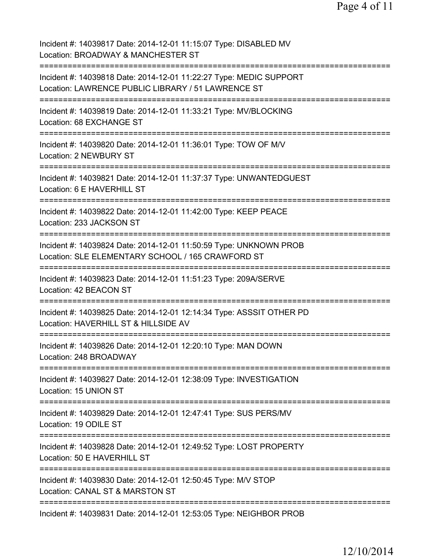Page 4 of 11

Incident #: 14039817 Date: 2014-12-01 11:15:07 Type: DISABLED MV Location: BROADWAY & MANCHESTER ST =========================================================================== Incident #: 14039818 Date: 2014-12-01 11:22:27 Type: MEDIC SUPPORT Location: LAWRENCE PUBLIC LIBRARY / 51 LAWRENCE ST =========================================================================== Incident #: 14039819 Date: 2014-12-01 11:33:21 Type: MV/BLOCKING Location: 68 EXCHANGE ST =========================================================================== Incident #: 14039820 Date: 2014-12-01 11:36:01 Type: TOW OF M/V Location: 2 NEWBURY ST =========================================================================== Incident #: 14039821 Date: 2014-12-01 11:37:37 Type: UNWANTEDGUEST Location: 6 E HAVERHILL ST =========================================================================== Incident #: 14039822 Date: 2014-12-01 11:42:00 Type: KEEP PEACE Location: 233 JACKSON ST =========================================================================== Incident #: 14039824 Date: 2014-12-01 11:50:59 Type: UNKNOWN PROB Location: SLE ELEMENTARY SCHOOL / 165 CRAWFORD ST =========================================================================== Incident #: 14039823 Date: 2014-12-01 11:51:23 Type: 209A/SERVE Location: 42 BEACON ST =========================================================================== Incident #: 14039825 Date: 2014-12-01 12:14:34 Type: ASSSIT OTHER PD Location: HAVERHILL ST & HILLSIDE AV =========================================================================== Incident #: 14039826 Date: 2014-12-01 12:20:10 Type: MAN DOWN Location: 248 BROADWAY =========================================================================== Incident #: 14039827 Date: 2014-12-01 12:38:09 Type: INVESTIGATION Location: 15 UNION ST =========================================================================== Incident #: 14039829 Date: 2014-12-01 12:47:41 Type: SUS PERS/MV Location: 19 ODILE ST =========================================================================== Incident #: 14039828 Date: 2014-12-01 12:49:52 Type: LOST PROPERTY Location: 50 E HAVERHILL ST =========================================================================== Incident #: 14039830 Date: 2014-12-01 12:50:45 Type: M/V STOP Location: CANAL ST & MARSTON ST =========================================================================== Incident #: 14039831 Date: 2014-12-01 12:53:05 Type: NEIGHBOR PROB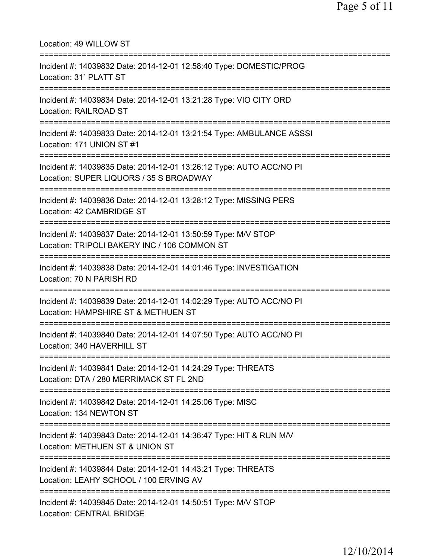Location: 49 WILLOW ST =========================================================================== Incident #: 14039832 Date: 2014-12-01 12:58:40 Type: DOMESTIC/PROG Location: 31` PLATT ST =========================================================================== Incident #: 14039834 Date: 2014-12-01 13:21:28 Type: VIO CITY ORD Location: RAILROAD ST =========================================================================== Incident #: 14039833 Date: 2014-12-01 13:21:54 Type: AMBULANCE ASSSI Location: 171 UNION ST #1 =========================================================================== Incident #: 14039835 Date: 2014-12-01 13:26:12 Type: AUTO ACC/NO PI Location: SUPER LIQUORS / 35 S BROADWAY =========================================================================== Incident #: 14039836 Date: 2014-12-01 13:28:12 Type: MISSING PERS Location: 42 CAMBRIDGE ST =========================================================================== Incident #: 14039837 Date: 2014-12-01 13:50:59 Type: M/V STOP Location: TRIPOLI BAKERY INC / 106 COMMON ST =========================================================================== Incident #: 14039838 Date: 2014-12-01 14:01:46 Type: INVESTIGATION Location: 70 N PARISH RD =========================================================================== Incident #: 14039839 Date: 2014-12-01 14:02:29 Type: AUTO ACC/NO PI Location: HAMPSHIRE ST & METHUEN ST =========================================================================== Incident #: 14039840 Date: 2014-12-01 14:07:50 Type: AUTO ACC/NO PI Location: 340 HAVERHILL ST =========================================================================== Incident #: 14039841 Date: 2014-12-01 14:24:29 Type: THREATS Location: DTA / 280 MERRIMACK ST FL 2ND =========================================================================== Incident #: 14039842 Date: 2014-12-01 14:25:06 Type: MISC Location: 134 NEWTON ST =========================================================================== Incident #: 14039843 Date: 2014-12-01 14:36:47 Type: HIT & RUN M/V Location: METHUEN ST & UNION ST =========================================================================== Incident #: 14039844 Date: 2014-12-01 14:43:21 Type: THREATS Location: LEAHY SCHOOL / 100 ERVING AV =========================================================================== Incident #: 14039845 Date: 2014-12-01 14:50:51 Type: M/V STOP Location: CENTRAL BRIDGE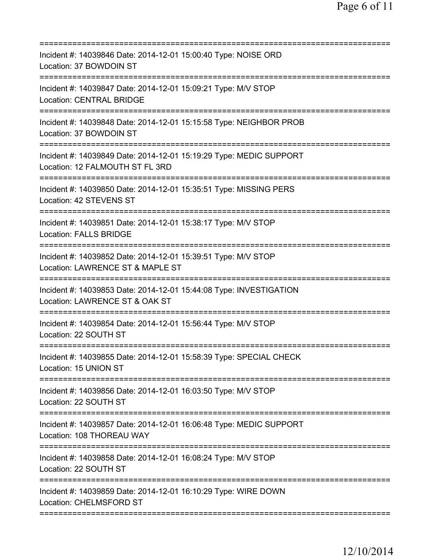| Incident #: 14039846 Date: 2014-12-01 15:00:40 Type: NOISE ORD<br>Location: 37 BOWDOIN ST             |
|-------------------------------------------------------------------------------------------------------|
| Incident #: 14039847 Date: 2014-12-01 15:09:21 Type: M/V STOP<br><b>Location: CENTRAL BRIDGE</b>      |
| Incident #: 14039848 Date: 2014-12-01 15:15:58 Type: NEIGHBOR PROB<br>Location: 37 BOWDOIN ST         |
| Incident #: 14039849 Date: 2014-12-01 15:19:29 Type: MEDIC SUPPORT<br>Location: 12 FALMOUTH ST FL 3RD |
| Incident #: 14039850 Date: 2014-12-01 15:35:51 Type: MISSING PERS<br>Location: 42 STEVENS ST          |
| Incident #: 14039851 Date: 2014-12-01 15:38:17 Type: M/V STOP<br><b>Location: FALLS BRIDGE</b>        |
| Incident #: 14039852 Date: 2014-12-01 15:39:51 Type: M/V STOP<br>Location: LAWRENCE ST & MAPLE ST     |
| Incident #: 14039853 Date: 2014-12-01 15:44:08 Type: INVESTIGATION<br>Location: LAWRENCE ST & OAK ST  |
| Incident #: 14039854 Date: 2014-12-01 15:56:44 Type: M/V STOP<br>Location: 22 SOUTH ST                |
| Incident #: 14039855 Date: 2014-12-01 15:58:39 Type: SPECIAL CHECK<br>Location: 15 UNION ST           |
| Incident #: 14039856 Date: 2014-12-01 16:03:50 Type: M/V STOP<br>Location: 22 SOUTH ST                |
| Incident #: 14039857 Date: 2014-12-01 16:06:48 Type: MEDIC SUPPORT<br>Location: 108 THOREAU WAY       |
| Incident #: 14039858 Date: 2014-12-01 16:08:24 Type: M/V STOP<br>Location: 22 SOUTH ST                |
| Incident #: 14039859 Date: 2014-12-01 16:10:29 Type: WIRE DOWN<br>Location: CHELMSFORD ST             |
|                                                                                                       |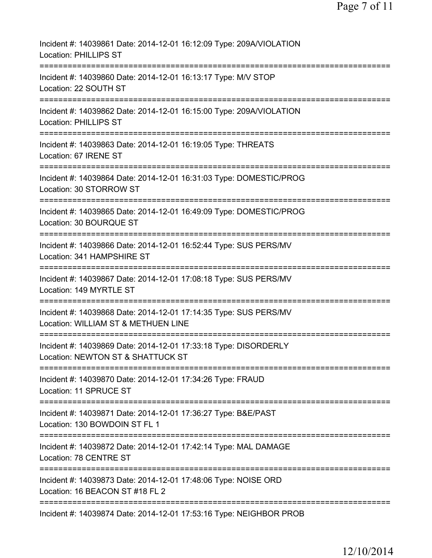| Incident #: 14039861 Date: 2014-12-01 16:12:09 Type: 209A/VIOLATION<br><b>Location: PHILLIPS ST</b>                                                      |
|----------------------------------------------------------------------------------------------------------------------------------------------------------|
| Incident #: 14039860 Date: 2014-12-01 16:13:17 Type: M/V STOP<br>Location: 22 SOUTH ST                                                                   |
| Incident #: 14039862 Date: 2014-12-01 16:15:00 Type: 209A/VIOLATION<br><b>Location: PHILLIPS ST</b>                                                      |
| Incident #: 14039863 Date: 2014-12-01 16:19:05 Type: THREATS<br>Location: 67 IRENE ST                                                                    |
| =====================================<br>Incident #: 14039864 Date: 2014-12-01 16:31:03 Type: DOMESTIC/PROG<br>Location: 30 STORROW ST                   |
| Incident #: 14039865 Date: 2014-12-01 16:49:09 Type: DOMESTIC/PROG<br>Location: 30 BOURQUE ST                                                            |
| Incident #: 14039866 Date: 2014-12-01 16:52:44 Type: SUS PERS/MV<br>Location: 341 HAMPSHIRE ST                                                           |
| Incident #: 14039867 Date: 2014-12-01 17:08:18 Type: SUS PERS/MV<br>Location: 149 MYRTLE ST                                                              |
| Incident #: 14039868 Date: 2014-12-01 17:14:35 Type: SUS PERS/MV<br>Location: WILLIAM ST & METHUEN LINE                                                  |
| Incident #: 14039869 Date: 2014-12-01 17:33:18 Type: DISORDERLY<br>Location: NEWTON ST & SHATTUCK ST                                                     |
| ===============================<br>=============================<br>Incident #: 14039870 Date: 2014-12-01 17:34:26 Type: FRAUD<br>Location: 11 SPRUCE ST |
| =============================<br>Incident #: 14039871 Date: 2014-12-01 17:36:27 Type: B&E/PAST<br>Location: 130 BOWDOIN ST FL 1                          |
| Incident #: 14039872 Date: 2014-12-01 17:42:14 Type: MAL DAMAGE<br>Location: 78 CENTRE ST                                                                |
| Incident #: 14039873 Date: 2014-12-01 17:48:06 Type: NOISE ORD<br>Location: 16 BEACON ST #18 FL 2                                                        |
| Incident #: 14039874 Date: 2014-12-01 17:53:16 Type: NEIGHBOR PROB                                                                                       |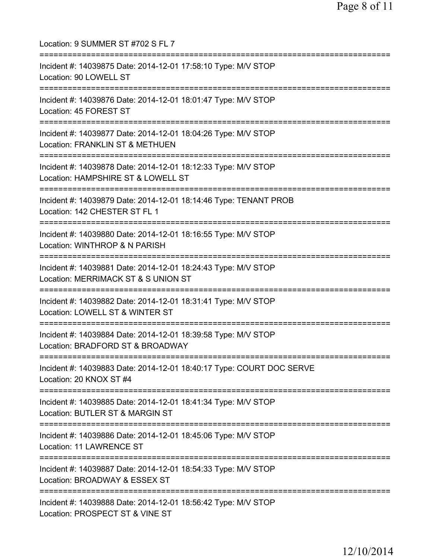Location: 9 SUMMER ST #702 S FL 7 =========================================================================== Incident #: 14039875 Date: 2014-12-01 17:58:10 Type: M/V STOP Location: 90 LOWELL ST =========================================================================== Incident #: 14039876 Date: 2014-12-01 18:01:47 Type: M/V STOP Location: 45 FOREST ST =========================================================================== Incident #: 14039877 Date: 2014-12-01 18:04:26 Type: M/V STOP Location: FRANKLIN ST & METHUEN =========================================================================== Incident #: 14039878 Date: 2014-12-01 18:12:33 Type: M/V STOP Location: HAMPSHIRE ST & LOWELL ST =========================================================================== Incident #: 14039879 Date: 2014-12-01 18:14:46 Type: TENANT PROB Location: 142 CHESTER ST FL 1 =========================================================================== Incident #: 14039880 Date: 2014-12-01 18:16:55 Type: M/V STOP Location: WINTHROP & N PARISH =========================================================================== Incident #: 14039881 Date: 2014-12-01 18:24:43 Type: M/V STOP Location: MERRIMACK ST & S UNION ST =========================================================================== Incident #: 14039882 Date: 2014-12-01 18:31:41 Type: M/V STOP Location: LOWELL ST & WINTER ST =========================================================================== Incident #: 14039884 Date: 2014-12-01 18:39:58 Type: M/V STOP Location: BRADFORD ST & BROADWAY =========================================================================== Incident #: 14039883 Date: 2014-12-01 18:40:17 Type: COURT DOC SERVE Location: 20 KNOX ST #4 =========================================================================== Incident #: 14039885 Date: 2014-12-01 18:41:34 Type: M/V STOP Location: BUTLER ST & MARGIN ST =========================================================================== Incident #: 14039886 Date: 2014-12-01 18:45:06 Type: M/V STOP Location: 11 LAWRENCE ST =========================================================================== Incident #: 14039887 Date: 2014-12-01 18:54:33 Type: M/V STOP Location: BROADWAY & ESSEX ST =========================================================================== Incident #: 14039888 Date: 2014-12-01 18:56:42 Type: M/V STOP Location: PROSPECT ST & VINE ST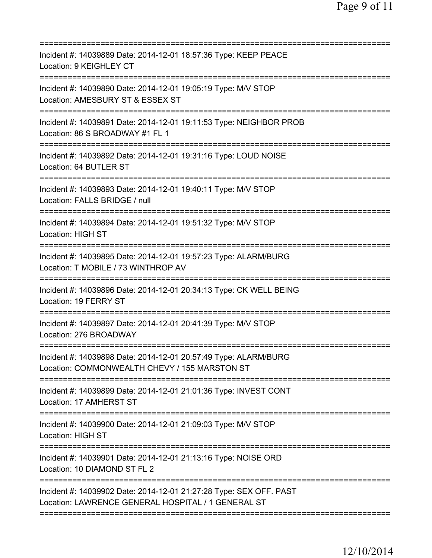| ========================                                                                                                                                  |
|-----------------------------------------------------------------------------------------------------------------------------------------------------------|
| Incident #: 14039889 Date: 2014-12-01 18:57:36 Type: KEEP PEACE<br>Location: 9 KEIGHLEY CT                                                                |
| Incident #: 14039890 Date: 2014-12-01 19:05:19 Type: M/V STOP<br>Location: AMESBURY ST & ESSEX ST                                                         |
| Incident #: 14039891 Date: 2014-12-01 19:11:53 Type: NEIGHBOR PROB<br>Location: 86 S BROADWAY #1 FL 1<br>:=====================                           |
| Incident #: 14039892 Date: 2014-12-01 19:31:16 Type: LOUD NOISE<br>Location: 64 BUTLER ST                                                                 |
| Incident #: 14039893 Date: 2014-12-01 19:40:11 Type: M/V STOP<br>Location: FALLS BRIDGE / null                                                            |
| Incident #: 14039894 Date: 2014-12-01 19:51:32 Type: M/V STOP<br><b>Location: HIGH ST</b>                                                                 |
| Incident #: 14039895 Date: 2014-12-01 19:57:23 Type: ALARM/BURG<br>Location: T MOBILE / 73 WINTHROP AV                                                    |
| Incident #: 14039896 Date: 2014-12-01 20:34:13 Type: CK WELL BEING<br>Location: 19 FERRY ST                                                               |
| Incident #: 14039897 Date: 2014-12-01 20:41:39 Type: M/V STOP<br>Location: 276 BROADWAY                                                                   |
| Incident #: 14039898 Date: 2014-12-01 20:57:49 Type: ALARM/BURG<br>Location: COMMONWEALTH CHEVY / 155 MARSTON ST                                          |
| Incident #: 14039899 Date: 2014-12-01 21:01:36 Type: INVEST CONT<br>Location: 17 AMHERST ST                                                               |
| Incident #: 14039900 Date: 2014-12-01 21:09:03 Type: M/V STOP<br><b>Location: HIGH ST</b>                                                                 |
| Incident #: 14039901 Date: 2014-12-01 21:13:16 Type: NOISE ORD<br>Location: 10 DIAMOND ST FL 2                                                            |
| =============================<br>Incident #: 14039902 Date: 2014-12-01 21:27:28 Type: SEX OFF. PAST<br>Location: LAWRENCE GENERAL HOSPITAL / 1 GENERAL ST |
|                                                                                                                                                           |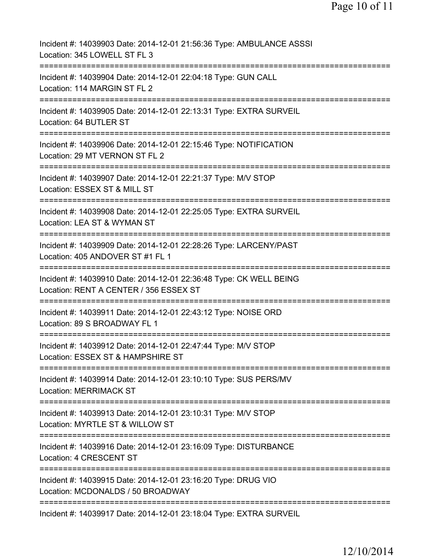| Incident #: 14039903 Date: 2014-12-01 21:56:36 Type: AMBULANCE ASSSI<br>Location: 345 LOWELL ST FL 3                     |
|--------------------------------------------------------------------------------------------------------------------------|
| Incident #: 14039904 Date: 2014-12-01 22:04:18 Type: GUN CALL<br>Location: 114 MARGIN ST FL 2                            |
| Incident #: 14039905 Date: 2014-12-01 22:13:31 Type: EXTRA SURVEIL<br>Location: 64 BUTLER ST                             |
| Incident #: 14039906 Date: 2014-12-01 22:15:46 Type: NOTIFICATION<br>Location: 29 MT VERNON ST FL 2                      |
| =======================<br>Incident #: 14039907 Date: 2014-12-01 22:21:37 Type: M/V STOP<br>Location: ESSEX ST & MILL ST |
| Incident #: 14039908 Date: 2014-12-01 22:25:05 Type: EXTRA SURVEIL<br>Location: LEA ST & WYMAN ST                        |
| ==============<br>Incident #: 14039909 Date: 2014-12-01 22:28:26 Type: LARCENY/PAST<br>Location: 405 ANDOVER ST #1 FL 1  |
| Incident #: 14039910 Date: 2014-12-01 22:36:48 Type: CK WELL BEING<br>Location: RENT A CENTER / 356 ESSEX ST             |
| Incident #: 14039911 Date: 2014-12-01 22:43:12 Type: NOISE ORD<br>Location: 89 S BROADWAY FL 1                           |
| Incident #: 14039912 Date: 2014-12-01 22:47:44 Type: M/V STOP<br>Location: ESSEX ST & HAMPSHIRE ST                       |
| Incident #: 14039914 Date: 2014-12-01 23:10:10 Type: SUS PERS/MV<br><b>Location: MERRIMACK ST</b>                        |
| Incident #: 14039913 Date: 2014-12-01 23:10:31 Type: M/V STOP<br>Location: MYRTLE ST & WILLOW ST                         |
| Incident #: 14039916 Date: 2014-12-01 23:16:09 Type: DISTURBANCE<br>Location: 4 CRESCENT ST                              |
| Incident #: 14039915 Date: 2014-12-01 23:16:20 Type: DRUG VIO<br>Location: MCDONALDS / 50 BROADWAY                       |
| ==========================<br>Incident #: 14039917 Date: 2014-12-01 23:18:04 Type: EXTRA SURVEIL                         |